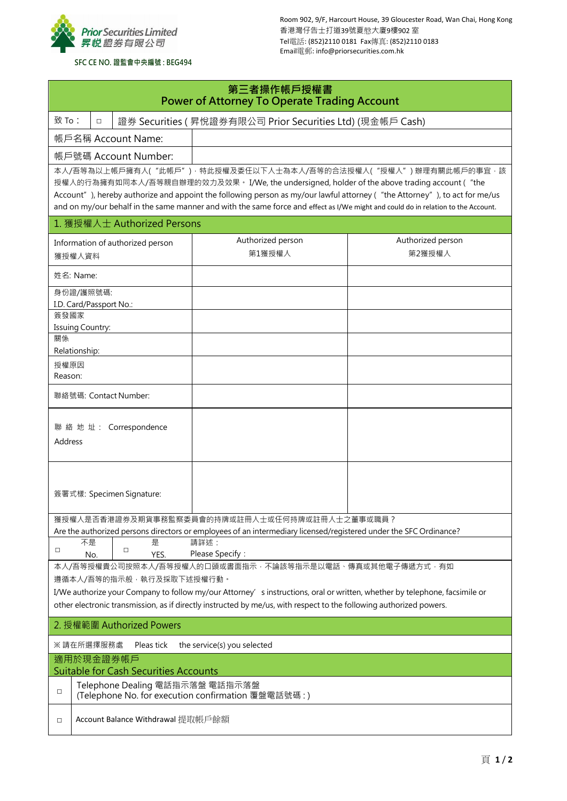

Room 902, 9/F, Harcourt House, 39 Gloucester Road, Wan Chai, Hong Kong 香港灣仔告士打道39號夏慤大廈9樓902 室 Tel電話: (852)2110 0181 Fax傳真: (852)2110 0183 Email電郵: info@priorsecurities.com.hk

## **SFC CE NO. 證監會中央編號 : BEG494**

| 第三者操作帳戶授權書<br><b>Power of Attorney To Operate Trading Account</b>                                                                                                                                                                                                                                                                                                                                                                |                                                                                       |  |                                   |                                                                                                                                              |                             |  |  |  |
|----------------------------------------------------------------------------------------------------------------------------------------------------------------------------------------------------------------------------------------------------------------------------------------------------------------------------------------------------------------------------------------------------------------------------------|---------------------------------------------------------------------------------------|--|-----------------------------------|----------------------------------------------------------------------------------------------------------------------------------------------|-----------------------------|--|--|--|
|                                                                                                                                                                                                                                                                                                                                                                                                                                  | 致 To:<br>證券 Securities (昇悅證券有限公司 Prior Securities Ltd) (現金帳戶 Cash)<br>$\Box$          |  |                                   |                                                                                                                                              |                             |  |  |  |
|                                                                                                                                                                                                                                                                                                                                                                                                                                  |                                                                                       |  | 帳戶名稱 Account Name:                |                                                                                                                                              |                             |  |  |  |
| 帳戶號碼 Account Number:                                                                                                                                                                                                                                                                                                                                                                                                             |                                                                                       |  |                                   |                                                                                                                                              |                             |  |  |  |
| 本人/吾等為以上帳戶擁有人("此帳戶")·特此授權及委任以下人士為本人/吾等的合法授權人("授權人")辦理有關此帳戶的事宜·該<br>授權人的行為擁有如同本人/吾等親自辦理的效力及效果。 I/We, the undersigned, holder of the above trading account ("the<br>Account"), hereby authorize and appoint the following person as my/our lawful attorney ("the Attorney"), to act for me/us<br>and on my/our behalf in the same manner and with the same force and effect as I/We might and could do in relation to the Account. |                                                                                       |  |                                   |                                                                                                                                              |                             |  |  |  |
|                                                                                                                                                                                                                                                                                                                                                                                                                                  |                                                                                       |  | 1. 獲授權人士 Authorized Persons       |                                                                                                                                              |                             |  |  |  |
| Information of authorized person<br>獲授權人資料                                                                                                                                                                                                                                                                                                                                                                                       |                                                                                       |  |                                   | Authorized person<br>第1獲授權人                                                                                                                  | Authorized person<br>第2獲授權人 |  |  |  |
| 姓名: Name:                                                                                                                                                                                                                                                                                                                                                                                                                        |                                                                                       |  |                                   |                                                                                                                                              |                             |  |  |  |
| 身份證/護照號碼:<br>I.D. Card/Passport No.:                                                                                                                                                                                                                                                                                                                                                                                             |                                                                                       |  |                                   |                                                                                                                                              |                             |  |  |  |
| 簽發國家                                                                                                                                                                                                                                                                                                                                                                                                                             |                                                                                       |  |                                   |                                                                                                                                              |                             |  |  |  |
| 關係                                                                                                                                                                                                                                                                                                                                                                                                                               | Issuing Country:<br>Relationship:                                                     |  |                                   |                                                                                                                                              |                             |  |  |  |
| 授權原因<br>Reason:                                                                                                                                                                                                                                                                                                                                                                                                                  |                                                                                       |  |                                   |                                                                                                                                              |                             |  |  |  |
|                                                                                                                                                                                                                                                                                                                                                                                                                                  |                                                                                       |  | 聯絡號碼: Contact Number:             |                                                                                                                                              |                             |  |  |  |
| 聯 絡 地 址: Correspondence<br>Address                                                                                                                                                                                                                                                                                                                                                                                               |                                                                                       |  |                                   |                                                                                                                                              |                             |  |  |  |
| 簽署式樣: Specimen Signature:                                                                                                                                                                                                                                                                                                                                                                                                        |                                                                                       |  |                                   |                                                                                                                                              |                             |  |  |  |
|                                                                                                                                                                                                                                                                                                                                                                                                                                  |                                                                                       |  |                                   | 獲授權人是否香港證券及期貨事務監察委員會的持牌或註冊人士或任何持牌或註冊人士之董事或職員?                                                                                                |                             |  |  |  |
| $\Box$                                                                                                                                                                                                                                                                                                                                                                                                                           | 不是<br>No.                                                                             |  | 是<br>$\Box$<br>YES.               | Are the authorized persons directors or employees of an intermediary licensed/registered under the SFC Ordinance?<br>請詳述:<br>Please Specify: |                             |  |  |  |
|                                                                                                                                                                                                                                                                                                                                                                                                                                  |                                                                                       |  |                                   | 本人/吾等授權貴公司按照本人/吾等授權人的口頭或書面指示, 不論該等指示是以電話、傳真或其他電子傳遞方式, 有如                                                                                     |                             |  |  |  |
|                                                                                                                                                                                                                                                                                                                                                                                                                                  |                                                                                       |  | 遵循本人/吾等的指示般,執行及採取下述授權行動。          |                                                                                                                                              |                             |  |  |  |
| I/We authorize your Company to follow my/our Attorney' sinstructions, oral or written, whether by telephone, facsimile or<br>other electronic transmission, as if directly instructed by me/us, with respect to the following authorized powers.                                                                                                                                                                                 |                                                                                       |  |                                   |                                                                                                                                              |                             |  |  |  |
| 2. 授權範圍 Authorized Powers                                                                                                                                                                                                                                                                                                                                                                                                        |                                                                                       |  |                                   |                                                                                                                                              |                             |  |  |  |
| ※ 請在所選擇服務處                                                                                                                                                                                                                                                                                                                                                                                                                       |                                                                                       |  | Pleas tick                        | the service(s) you selected                                                                                                                  |                             |  |  |  |
| 適用於現金證券帳戶<br><b>Suitable for Cash Securities Accounts</b>                                                                                                                                                                                                                                                                                                                                                                        |                                                                                       |  |                                   |                                                                                                                                              |                             |  |  |  |
| $\Box$                                                                                                                                                                                                                                                                                                                                                                                                                           | Telephone Dealing 電話指示落盤 電話指示落盤<br>(Telephone No. for execution confirmation 覆盤電話號碼:) |  |                                   |                                                                                                                                              |                             |  |  |  |
| □                                                                                                                                                                                                                                                                                                                                                                                                                                |                                                                                       |  | Account Balance Withdrawal 提取帳戶餘額 |                                                                                                                                              |                             |  |  |  |